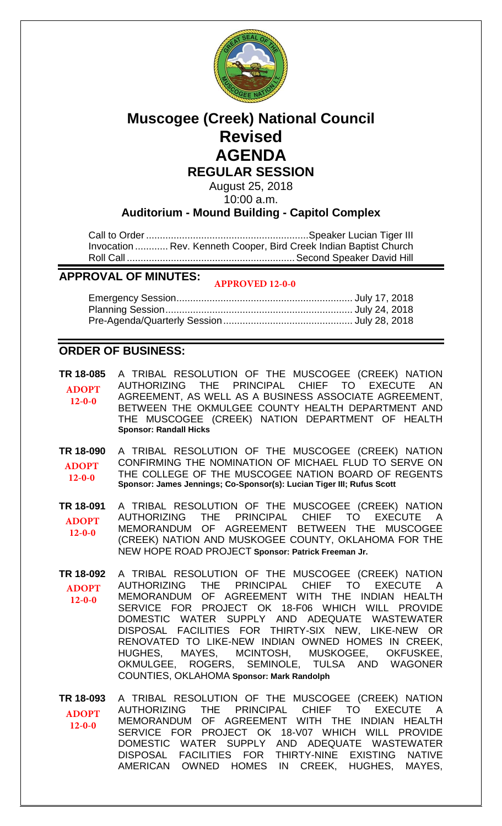

# **Muscogee (Creek) National Council Revised AGENDA REGULAR SESSION**

August 25, 2018 10:00 a.m.

## **Auditorium - Mound Building - Capitol Complex**

Call to Order ........................................................... Speaker Lucian Tiger III Invocation ............ Rev. Kenneth Cooper, Bird Creek Indian Baptist Church Roll Call ............................................................. Second Speaker David Hill

#### **APPROVAL OF MINUTES: APPROVED 12-0-0**

# **ORDER OF BUSINESS:**

**[TR 18-085](bills/18-085.pdf)** A TRIBAL RESOLUTION OF THE MUSCOGEE (CREEK) NATION AUTHORIZING THE PRINCIPAL CHIEF TO EXECUTE AN AGREEMENT, AS WELL AS A BUSINESS ASSOCIATE AGREEMENT, BETWEEN THE OKMULGEE COUNTY HEALTH DEPARTMENT AND THE MUSCOGEE (CREEK) NATION DEPARTMENT OF HEALTH **Sponsor: Randall Hicks ADOPT 12-0-0**

**[TR 18-090](bills/18-090.pdf)** A TRIBAL RESOLUTION OF THE MUSCOGEE (CREEK) NATION CONFIRMING THE NOMINATION OF MICHAEL FLUD TO SERVE ON THE COLLEGE OF THE MUSCOGEE NATION BOARD OF REGENTS **Sponsor: James Jennings; Co-Sponsor(s): Lucian Tiger III; Rufus Scott ADOPT 12-0-0**

**[TR 18-091](bills/18-091.pdf)** A TRIBAL RESOLUTION OF THE MUSCOGEE (CREEK) NATION AUTHORIZING THE PRINCIPAL CHIEF TO EXECUTE MEMORANDUM OF AGREEMENT BETWEEN THE MUSCOGEE (CREEK) NATION AND MUSKOGEE COUNTY, OKLAHOMA FOR THE NEW HOPE ROAD PROJECT **Sponsor: Patrick Freeman Jr. ADOPT 12-0-0**

- **[TR 18-092](bills/18-092.pdf)** A TRIBAL RESOLUTION OF THE MUSCOGEE (CREEK) NATION AUTHORIZING THE PRINCIPAL CHIEF TO EXECUTE MEMORANDUM OF AGREEMENT WITH THE INDIAN HEALTH SERVICE FOR PROJECT OK 18-F06 WHICH WILL PROVIDE DOMESTIC WATER SUPPLY AND ADEQUATE WASTEWATER DISPOSAL FACILITIES FOR THIRTY-SIX NEW, LIKE-NEW OR RENOVATED TO LIKE-NEW INDIAN OWNED HOMES IN CREEK, HUGHES, MAYES, MCINTOSH, MUSKOGEE, OKFUSKEE, OKMULGEE, ROGERS, SEMINOLE, TULSA AND WAGONER COUNTIES, OKLAHOMA **Sponsor: Mark Randolph ADOPT 12-0-0**
- **[TR 18-093](bills/18-093.pdf)** A TRIBAL RESOLUTION OF THE MUSCOGEE (CREEK) NATION AUTHORIZING THE PRINCIPAL CHIEF TO EXECUTE A MEMORANDUM OF AGREEMENT WITH THE INDIAN HEALTH SERVICE FOR PROJECT OK 18-V07 WHICH WILL PROVIDE DOMESTIC WATER SUPPLY AND ADEQUATE WASTEWATER<br>DISPOSAL FACILITIES FOR THIRTY-NINE EXISTING NATIVE FACILITIES FOR THIRTY-NINE EXISTING NATIVE AMERICAN OWNED HOMES IN CREEK, HUGHES, MAYES, **ADOPT 12-0-0**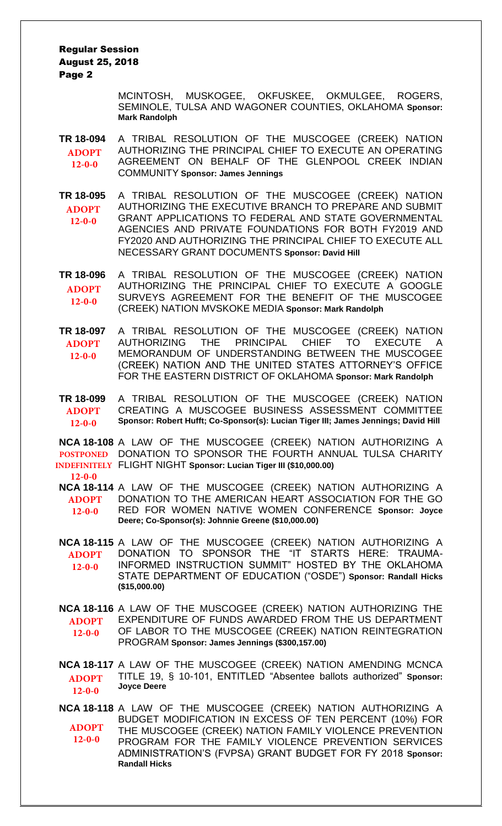Regular Session August 25, 2018 Page 2

> MCINTOSH, MUSKOGEE, OKFUSKEE, OKMULGEE, ROGERS, SEMINOLE, TULSA AND WAGONER COUNTIES, OKLAHOMA **Sponsor: Mark Randolph**

**[TR 18-094](bills/18-094.pdf)** A TRIBAL RESOLUTION OF THE MUSCOGEE (CREEK) NATION AUTHORIZING THE PRINCIPAL CHIEF TO EXECUTE AN OPERATING AGREEMENT ON BEHALF OF THE GLENPOOL CREEK INDIAN COMMUNITY **Sponsor: James Jennings ADOPT 12-0-0**

**[TR 18-095](bills/18-095.pdf)** A TRIBAL RESOLUTION OF THE MUSCOGEE (CREEK) NATION AUTHORIZING THE EXECUTIVE BRANCH TO PREPARE AND SUBMIT GRANT APPLICATIONS TO FEDERAL AND STATE GOVERNMENTAL AGENCIES AND PRIVATE FOUNDATIONS FOR BOTH FY2019 AND FY2020 AND AUTHORIZING THE PRINCIPAL CHIEF TO EXECUTE ALL NECESSARY GRANT DOCUMENTS **Sponsor: David Hill ADOPT 12-0-0**

**[TR 18-096](bills/18-096.pdf)** A TRIBAL RESOLUTION OF THE MUSCOGEE (CREEK) NATION AUTHORIZING THE PRINCIPAL CHIEF TO EXECUTE A GOOGLE SURVEYS AGREEMENT FOR THE BENEFIT OF THE MUSCOGEE (CREEK) NATION MVSKOKE MEDIA **Sponsor: Mark Randolph ADOPT 12-0-0**

**[TR 18-097](bills/18-097.pdf)** A TRIBAL RESOLUTION OF THE MUSCOGEE (CREEK) NATION AUTHORIZING THE PRINCIPAL CHIEF TO EXECUTE A MEMORANDUM OF UNDERSTANDING BETWEEN THE MUSCOGEE (CREEK) NATION AND THE UNITED STATES ATTORNEY'S OFFICE FOR THE EASTERN DISTRICT OF OKLAHOMA **Sponsor: Mark Randolph ADOPT 12-0-0**

**[TR 18-099](bills/18-099.pdf)** A TRIBAL RESOLUTION OF THE MUSCOGEE (CREEK) NATION CREATING A MUSCOGEE BUSINESS ASSESSMENT COMMITTEE **Sponsor: Robert Hufft; Co-Sponsor(s): Lucian Tiger III; James Jennings; David Hill ADOPT 12-0-0**

**[NCA 18-108](bills/NCA 18-108.pdf)** A LAW OF THE MUSCOGEE (CREEK) NATION AUTHORIZING A **POSTPONED DONATION TO SPONSOR THE FOURTH ANNUAL TULSA CHARITY** FLIGHT NIGHT **Sponsor: Lucian Tiger III (\$10,000.00) INDEFINITELY**

**12-0-0**

**[NCA 18-114](bills/NCA 18-114.pdf)** A LAW OF THE MUSCOGEE (CREEK) NATION AUTHORIZING A DONATION TO THE AMERICAN HEART ASSOCIATION FOR THE GO RED FOR WOMEN NATIVE WOMEN CONFERENCE **Sponsor: Joyce Deere; Co-Sponsor(s): Johnnie Greene (\$10,000.00) ADOPT 12-0-0**

**[NCA 18-115](bills/NCA 18-115.pdf)** A LAW OF THE MUSCOGEE (CREEK) NATION AUTHORIZING A DONATION TO SPONSOR THE "IT STARTS HERE: TRAUMA-INFORMED INSTRUCTION SUMMIT" HOSTED BY THE OKLAHOMA STATE DEPARTMENT OF EDUCATION ("OSDE") **Sponsor: Randall Hicks (\$15,000.00) ADOPT 12-0-0**

**[NCA 18-116](bills/NCA 18-116.pdf)** A LAW OF THE MUSCOGEE (CREEK) NATION AUTHORIZING THE EXPENDITURE OF FUNDS AWARDED FROM THE US DEPARTMENT OF LABOR TO THE MUSCOGEE (CREEK) NATION REINTEGRATION PROGRAM **Sponsor: James Jennings (\$300,157.00) ADOPT 12-0-0**

**[NCA 18-117](bills/NCA 18-117.pdf)** A LAW OF THE MUSCOGEE (CREEK) NATION AMENDING MCNCA TITLE 19, § 10-101, ENTITLED "Absentee ballots authorized" **Sponsor: Joyce Deere ADOPT 12-0-0**

**[NCA 18-118](bills/NCA 18-118.pdf)** A LAW OF THE MUSCOGEE (CREEK) NATION AUTHORIZING A BUDGET MODIFICATION IN EXCESS OF TEN PERCENT (10%) FOR THE MUSCOGEE (CREEK) NATION FAMILY VIOLENCE PREVENTION PROGRAM FOR THE FAMILY VIOLENCE PREVENTION SERVICES ADMINISTRATION'S (FVPSA) GRANT BUDGET FOR FY 2018 **Sponsor: Randall Hicks ADOPT 12-0-0**